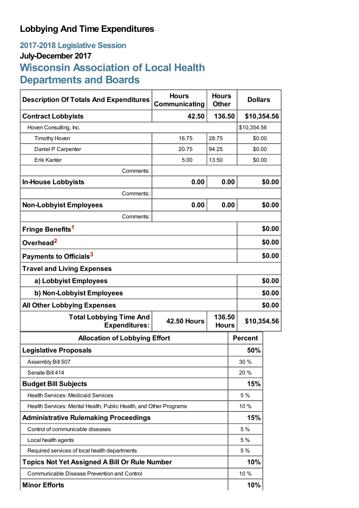# **Lobbying And Time Expenditures**

# **2017-2018 Legislative Session July-December 2017 Wisconsin Association of Local Health Departments and Boards**

| <b>Description Of Totals And Expenditures</b>                     | <b>Hours</b><br>Communicating                | <b>Hours</b><br><b>Other</b> | <b>Dollars</b> |        |  |
|-------------------------------------------------------------------|----------------------------------------------|------------------------------|----------------|--------|--|
| <b>Contract Lobbyists</b>                                         | 42.50                                        | 136.50                       | \$10,354.56    |        |  |
| Hoven Consulting, Inc.                                            |                                              |                              | \$10,354.56    |        |  |
| <b>Timothy Hoven</b>                                              | 16.75                                        | 28.75                        |                | \$0.00 |  |
| Daniel P Carpenter                                                | 20.75                                        | 94.25                        |                | \$0.00 |  |
| <b>Erik Kanter</b>                                                | 5.00                                         | 13.50                        | \$0.00         |        |  |
| Comments:                                                         |                                              |                              |                |        |  |
| <b>In-House Lobbyists</b>                                         | 0.00                                         | 0.00                         | \$0.00         |        |  |
| Comments:                                                         |                                              |                              |                |        |  |
| <b>Non-Lobbyist Employees</b>                                     | 0.00                                         | 0.00                         |                | \$0.00 |  |
| Comments:                                                         |                                              |                              |                |        |  |
| Fringe Benefits <sup>1</sup>                                      |                                              |                              |                | \$0.00 |  |
| Overhead <sup>2</sup>                                             |                                              |                              |                | \$0.00 |  |
| Payments to Officials <sup>3</sup>                                |                                              |                              |                | \$0.00 |  |
| <b>Travel and Living Expenses</b>                                 |                                              |                              |                |        |  |
| a) Lobbyist Employees                                             |                                              |                              |                | \$0.00 |  |
| b) Non-Lobbyist Employees                                         |                                              |                              | \$0.00         |        |  |
| <b>All Other Lobbying Expenses</b>                                |                                              |                              |                | \$0.00 |  |
| <b>Total Lobbying Time And</b><br><b>Expenditures:</b>            | 136.50<br><b>42.50 Hours</b><br><b>Hours</b> |                              | \$10,354.56    |        |  |
| <b>Allocation of Lobbying Effort</b>                              |                                              |                              | <b>Percent</b> |        |  |
| <b>Legislative Proposals</b>                                      |                                              |                              | 50%            |        |  |
| Assembly Bill 507                                                 |                                              |                              | 30 %           |        |  |
| Senate Bill 414                                                   |                                              |                              | 20 %           |        |  |
| <b>Budget Bill Subjects</b>                                       |                                              |                              | 15%            |        |  |
| <b>Health Services: Medicaid Services</b>                         |                                              |                              | 5 %            |        |  |
| Health Services: Mental Health, Public Health, and Other Programs |                                              |                              | 10 %           |        |  |
| <b>Administrative Rulemaking Proceedings</b>                      |                                              |                              | 15%            |        |  |
| Control of communicable diseases                                  |                                              |                              | 5 %            |        |  |
| Local health agents                                               |                                              |                              | 5 %            |        |  |
| Required services of local health departments                     |                                              |                              | 5 %            |        |  |
| <b>Topics Not Yet Assigned A Bill Or Rule Number</b>              |                                              |                              | 10%            |        |  |
| Communicable Disease Prevention and Control                       |                                              |                              | 10 %           |        |  |
| <b>Minor Efforts</b>                                              |                                              |                              | 10%            |        |  |